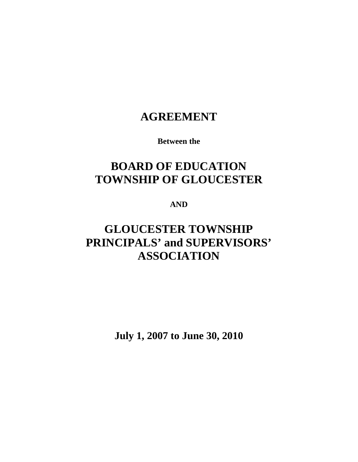## **AGREEMENT**

**Between the** 

# **BOARD OF EDUCATION TOWNSHIP OF GLOUCESTER**

**AND** 

# **GLOUCESTER TOWNSHIP PRINCIPALS' and SUPERVISORS' ASSOCIATION**

**July 1, 2007 to June 30, 2010**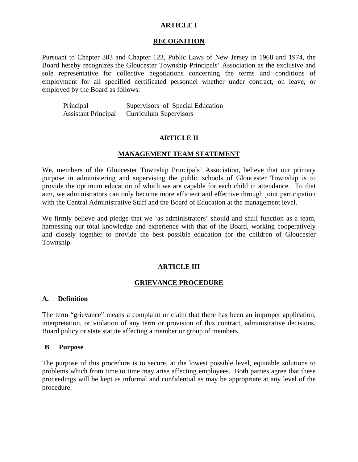#### **ARTICLE I**

#### **RECOGNITION**

Pursuant to Chapter 303 and Chapter 123, Public Laws of New Jersey in 1968 and 1974, the Board hereby recognizes the Gloucester Township Principals' Association as the exclusive and sole representative for collective negotiations concerning the terms and conditions of employment for all specified certificated personnel whether under contract, on leave, or employed by the Board as follows:

| Principal                  | Supervisors of Special Education |
|----------------------------|----------------------------------|
| <b>Assistant Principal</b> | <b>Curriculum Supervisors</b>    |

#### **ARTICLE II**

#### **MANAGEMENT TEAM STATEMENT**

We, members of the Gloucester Township Principals' Association, believe that our primary purpose in administering and supervising the public schools of Gloucester Township is to provide the optimum education of which we are capable for each child in attendance. To that aim, we administrators can only become more efficient and effective through joint participation with the Central Administrative Staff and the Board of Education at the management level.

We firmly believe and pledge that we 'as administrators' should and shall function as a team, harnessing our total knowledge and experience with that of the Board, working cooperatively and closely together to provide the best possible education for the children of Gloucester Township.

#### **ARTICLE III**

#### **GRIEVANCE PROCEDURE**

#### **A. Definition**

The term "grievance" means a complaint or claim that there has been an improper application, interpretation, or violation of any term or provision of this contract, administrative decisions, Board policy or state statute affecting a member or group of members.

#### **B**. **Purpose**

The purpose of this procedure is to secure, at the lowest possible level, equitable solutions to problems which from time to time may arise affecting employees. Both parties agree that these proceedings will be kept as informal and confidential as may be appropriate at any level of the procedure.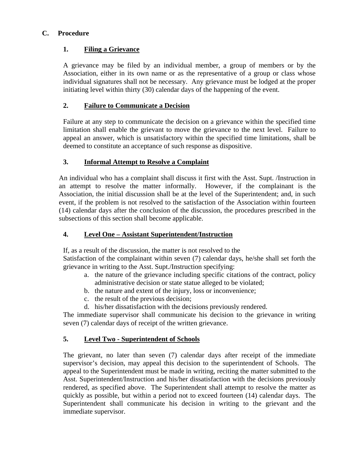## **C. Procedure**

## **1. Filing a Grievance**

A grievance may be filed by an individual member, a group of members or by the Association, either in its own name or as the representative of a group or class whose individual signatures shall not be necessary. Any grievance must be lodged at the proper initiating level within thirty (30) calendar days of the happening of the event.

## **2. Failure to Communicate a Decision**

Failure at any step to communicate the decision on a grievance within the specified time limitation shall enable the grievant to move the grievance to the next level. Failure to appeal an answer, which is unsatisfactory within the specified time limitations, shall be deemed to constitute an acceptance of such response as dispositive.

## **3. Informal Attempt to Resolve a Complaint**

An individual who has a complaint shall discuss it first with the Asst. Supt. /Instruction in an attempt to resolve the matter informally. However, if the complainant is the Association, the initial discussion shall be at the level of the Superintendent; and, in such event, if the problem is not resolved to the satisfaction of the Association within fourteen (14) calendar days after the conclusion of the discussion, the procedures prescribed in the subsections of this section shall become applicable.

## **4. Level One – Assistant Superintendent/Instruction**

If, as a result of the discussion, the matter is not resolved to the

Satisfaction of the complainant within seven (7) calendar days, he/she shall set forth the grievance in writing to the Asst. Supt./Instruction specifying:

- a. the nature of the grievance including specific citations of the contract, policy administrative decision or state statue alleged to be violated;
- b. the nature and extent of the injury, loss or inconvenience;
- c. the result of the previous decision;
- d. his/her dissatisfaction with the decisions previously rendered.

The immediate supervisor shall communicate his decision to the grievance in writing seven (7) calendar days of receipt of the written grievance.

## **5. Level Two - Superintendent of Schools**

The grievant, no later than seven (7) calendar days after receipt of the immediate supervisor's decision, may appeal this decision to the superintendent of Schools. The appeal to the Superintendent must be made in writing, reciting the matter submitted to the Asst. Superintendent/Instruction and his/her dissatisfaction with the decisions previously rendered, as specified above. The Superintendent shall attempt to resolve the matter as quickly as possible, but within a period not to exceed fourteen (14) calendar days. The Superintendent shall communicate his decision in writing to the grievant and the immediate supervisor.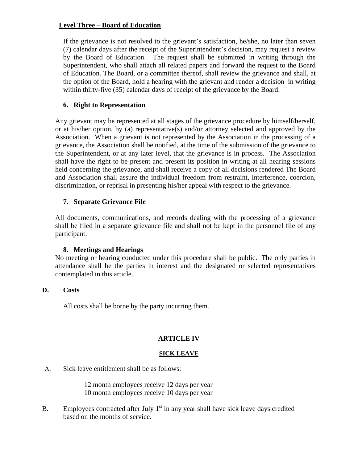## **Level Three – Board of Education**

If the grievance is not resolved to the grievant's satisfaction, he/she, no later than seven (7) calendar days after the receipt of the Superintendent's decision, may request a review by the Board of Education. The request shall be submitted in writing through the Superintendent, who shall attach all related papers and forward the request to the Board of Education. The Board, or a committee thereof, shall review the grievance and shall, at the option of the Board, hold a hearing with the grievant and render a decision in writing within thirty-five (35) calendar days of receipt of the grievance by the Board.

## **6. Right to Representation**

Any grievant may be represented at all stages of the grievance procedure by himself/herself, or at his/her option, by (a) representative(s) and/or attorney selected and approved by the Association. When a grievant is not represented by the Association in the processing of a grievance, the Association shall be notified, at the time of the submission of the grievance to the Superintendent, or at any later level, that the grievance is in process. The Association shall have the right to be present and present its position in writing at all hearing sessions held concerning the grievance, and shall receive a copy of all decisions rendered The Board and Association shall assure the individual freedom from restraint, interference, coercion, discrimination, or reprisal in presenting his/her appeal with respect to the grievance.

## **7. Separate Grievance File**

All documents, communications, and records dealing with the processing of a grievance shall be filed in a separate grievance file and shall not be kept in the personnel file of any participant.

## **8. Meetings and Hearings**

No meeting or hearing conducted under this procedure shall be public. The only parties in attendance shall be the parties in interest and the designated or selected representatives contemplated in this article.

## **D. Costs**

All costs shall be borne by the party incurring them.

## **ARTICLE IV**

## **SICK LEAVE**

A. Sick leave entitlement shall be as follows:

12 month employees receive 12 days per year 10 month employees receive 10 days per year

B. Employees contracted after July  $1<sup>st</sup>$  in any year shall have sick leave days credited based on the months of service.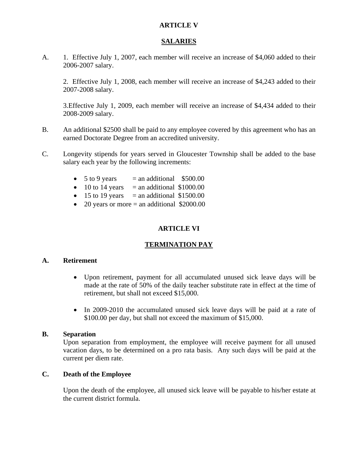#### **ARTICLE V**

#### **SALARIES**

A. 1. Effective July 1, 2007, each member will receive an increase of \$4,060 added to their 2006-2007 salary.

2. Effective July 1, 2008, each member will receive an increase of \$4,243 added to their 2007-2008 salary.

3.Effective July 1, 2009, each member will receive an increase of \$4,434 added to their 2008-2009 salary.

- B. An additional \$2500 shall be paid to any employee covered by this agreement who has an earned Doctorate Degree from an accredited university.
- C. Longevity stipends for years served in Gloucester Township shall be added to the base salary each year by the following increments:
	- $5$  to 9 years = an additional  $$500.00$
	- 10 to 14 years = an additional  $$1000.00$
	- 15 to 19 years = an additional  $$1500.00$
	- 20 years or more  $=$  an additional \$2000.00

## **ARTICLE VI**

## **TERMINATION PAY**

#### **A. Retirement**

- Upon retirement, payment for all accumulated unused sick leave days will be made at the rate of 50% of the daily teacher substitute rate in effect at the time of retirement, but shall not exceed \$15,000.
- In 2009-2010 the accumulated unused sick leave days will be paid at a rate of \$100.00 per day, but shall not exceed the maximum of \$15,000.

#### **B. Separation**

Upon separation from employment, the employee will receive payment for all unused vacation days, to be determined on a pro rata basis. Any such days will be paid at the current per diem rate.

#### **C. Death of the Employee**

Upon the death of the employee, all unused sick leave will be payable to his/her estate at the current district formula.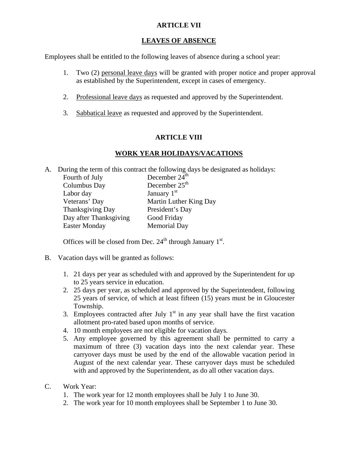## **ARTICLE VII**

## **LEAVES OF ABSENCE**

Employees shall be entitled to the following leaves of absence during a school year:

- 1. Two (2) personal leave days will be granted with proper notice and proper approval as established by the Superintendent, except in cases of emergency.
- 2. Professional leave days as requested and approved by the Superintendent.
- 3. Sabbatical leave as requested and approved by the Superintendent.

#### **ARTICLE VIII**

#### **WORK YEAR HOLIDAYS/VACATIONS**

A. During the term of this contract the following days be designated as holidays:

| Fourth of July         | December $24^{th}$      |
|------------------------|-------------------------|
| Columbus Day           | December $25th$         |
| Labor day              | January 1 <sup>st</sup> |
| Veterans' Day          | Martin Luther King Day  |
| Thanksgiving Day       | President's Day         |
| Day after Thanksgiving | Good Friday             |
| <b>Easter Monday</b>   | <b>Memorial Day</b>     |
|                        |                         |

Offices will be closed from Dec.  $24<sup>th</sup>$  through January  $1<sup>st</sup>$ .

- B. Vacation days will be granted as follows:
	- 1. 21 days per year as scheduled with and approved by the Superintendent for up to 25 years service in education.
	- 2. 25 days per year, as scheduled and approved by the Superintendent, following 25 years of service, of which at least fifteen (15) years must be in Gloucester Township.
	- 3. Employees contracted after July  $1<sup>st</sup>$  in any year shall have the first vacation allotment pro-rated based upon months of service.
	- 4. 10 month employees are not eligible for vacation days.
	- 5. Any employee governed by this agreement shall be permitted to carry a maximum of three (3) vacation days into the next calendar year. These carryover days must be used by the end of the allowable vacation period in August of the next calendar year. These carryover days must be scheduled with and approved by the Superintendent, as do all other vacation days.
- C. Work Year:
	- 1. The work year for 12 month employees shall be July 1 to June 30.
	- 2. The work year for 10 month employees shall be September 1 to June 30.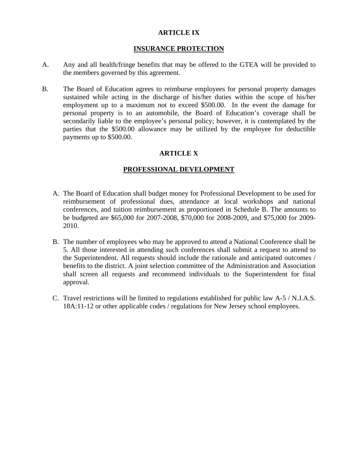#### **ARTICLE IX**

#### **INSURANCE PROTECTION**

- A. Any and all health/fringe benefits that may be offered to the GTEA will be provided to the members governed by this agreement.
- B. The Board of Education agrees to reimburse employees for personal property damages sustained while acting in the discharge of his/her duties within the scope of his/her employment up to a maximum not to exceed \$500.00. In the event the damage for personal property is to an automobile, the Board of Education's coverage shall be secondarily liable to the employee's personal policy; however, it is contemplated by the parties that the \$500.00 allowance may be utilized by the employee for deductible payments up to \$500.00.

## **ARTICLE X**

#### **PROFESSIONAL DEVELOPMENT**

- A. The Board of Education shall budget money for Professional Development to be used for reimbursement of professional dues, attendance at local workshops and national conferences, and tuition reimbursement as proportioned in Schedule B. The amounts to be budgeted are \$65,000 for 2007-2008, \$70,000 for 2008-2009, and \$75,000 for 2009- 2010.
- B. The number of employees who may be approved to attend a National Conference shall be 5. All those interested in attending such conferences shall submit a request to attend to the Superintendent. All requests should include the rationale and anticipated outcomes / benefits to the district. A joint selection committee of the Administration and Association shall screen all requests and recommend individuals to the Superintendent for final approval.
- C. Travel restrictions will be limited to regulations established for public law A-5 / N.J.A.S. 18A:11-12 or other applicable codes / regulations for New Jersey school employees.